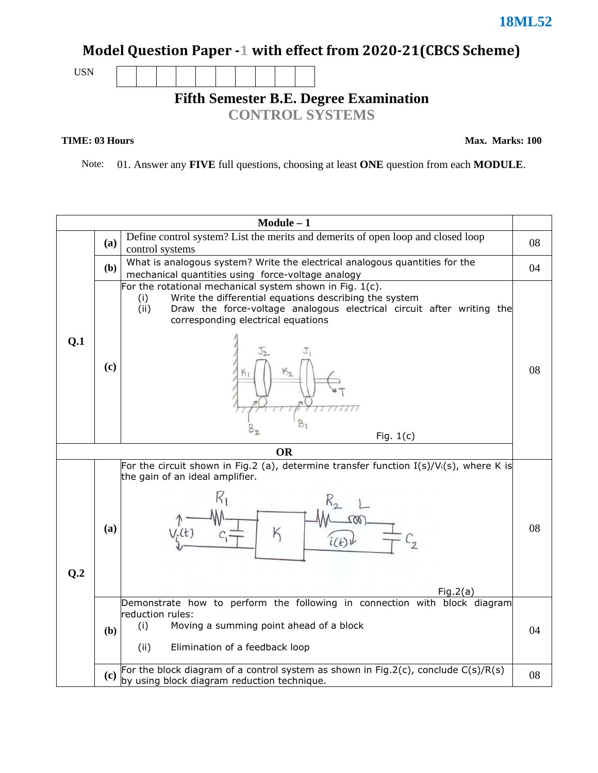## Model Question Paper -1 with effect from 2020-21(CBCS Scheme)

USN

**Fifth Semester B.E. Degree Examination** 

**CONTROL SYSTEMS**

#### **TIME: 03 Hours**

**Max. Marks: 100**

Note: 01. Answer any **FIVE** full questions, choosing at least **ONE** question from each **MODULE**.

|                |                                                                                                         | $Module - 1$                                                                                                                                                                                                                                                    |    |  |  |  |  |
|----------------|---------------------------------------------------------------------------------------------------------|-----------------------------------------------------------------------------------------------------------------------------------------------------------------------------------------------------------------------------------------------------------------|----|--|--|--|--|
|                | (a)                                                                                                     | Define control system? List the merits and demerits of open loop and closed loop<br>control systems                                                                                                                                                             |    |  |  |  |  |
|                | ( <b>b</b> )                                                                                            | What is analogous system? Write the electrical analogous quantities for the<br>mechanical quantities using force-voltage analogy                                                                                                                                | 04 |  |  |  |  |
| Q.1            | (c)                                                                                                     | For the rotational mechanical system shown in Fig. 1(c).<br>Write the differential equations describing the system<br>(i)<br>Draw the force-voltage analogous electrical circuit after writing the<br>(ii)<br>corresponding electrical equations<br>Fig. $1(c)$ |    |  |  |  |  |
|                | <b>OR</b><br>For the circuit shown in Fig.2 (a), determine transfer function $I(s)/V_i(s)$ , where K is |                                                                                                                                                                                                                                                                 |    |  |  |  |  |
|                |                                                                                                         | the gain of an ideal amplifier.                                                                                                                                                                                                                                 |    |  |  |  |  |
| Q <sub>0</sub> | (a)                                                                                                     | K<br>$V_{\cdot}(t)$<br>Fig.2(a)                                                                                                                                                                                                                                 | 08 |  |  |  |  |
|                | (b)                                                                                                     | Demonstrate how to perform the following in connection with block diagram<br>reduction rules:<br>(i)<br>Moving a summing point ahead of a block<br>(ii)<br>Elimination of a feedback loop                                                                       | 04 |  |  |  |  |
|                | (c)                                                                                                     | For the block diagram of a control system as shown in Fig.2(c), conclude $C(s)/R(s)$<br>by using block diagram reduction technique.                                                                                                                             | 08 |  |  |  |  |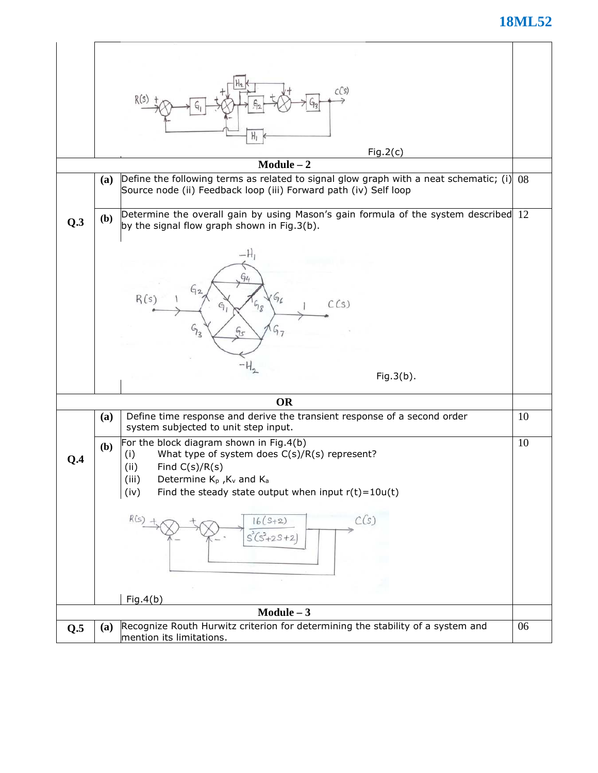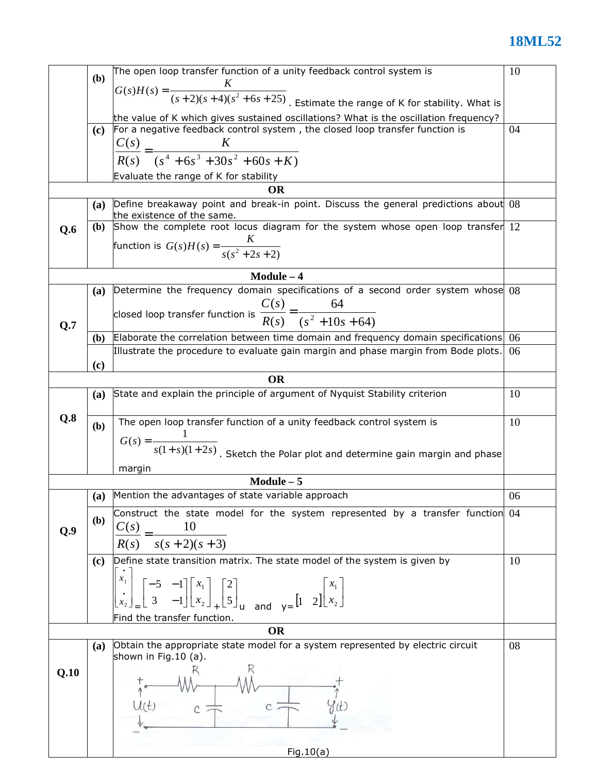|      |              | The open loop transfer function of a unity feedback control system is                                                                                                                                                    | 10 |  |  |  |  |
|------|--------------|--------------------------------------------------------------------------------------------------------------------------------------------------------------------------------------------------------------------------|----|--|--|--|--|
|      | (b)          |                                                                                                                                                                                                                          |    |  |  |  |  |
|      |              | $G(s)H(s) = \frac{\kappa}{(s+2)(s+4)(s^2+6s+25)}$ . Estimate the range of K for stability. What is                                                                                                                       |    |  |  |  |  |
|      |              |                                                                                                                                                                                                                          |    |  |  |  |  |
|      | (c)          | the value of K which gives sustained oscillations? What is the oscillation frequency?<br>For a negative feedback control system, the closed loop transfer function is<br>04                                              |    |  |  |  |  |
|      |              |                                                                                                                                                                                                                          |    |  |  |  |  |
|      |              | $\frac{C(s)}{R(s)} = \frac{K}{(s^4 + 6s^3 + 30s^2 + 60s + K)}$                                                                                                                                                           |    |  |  |  |  |
|      |              |                                                                                                                                                                                                                          |    |  |  |  |  |
|      |              | Evaluate the range of K for stability                                                                                                                                                                                    |    |  |  |  |  |
|      |              | <b>OR</b>                                                                                                                                                                                                                |    |  |  |  |  |
|      | (a)          | Define breakaway point and break-in point. Discuss the general predictions about 08                                                                                                                                      |    |  |  |  |  |
|      |              | the existence of the same.                                                                                                                                                                                               |    |  |  |  |  |
| Q.6  | (b)          | Show the complete root locus diagram for the system whose open loop transfer 12                                                                                                                                          |    |  |  |  |  |
|      |              | function is $G(s)H(s) = \frac{K}{s(s^2 + 2s + 2)}$                                                                                                                                                                       |    |  |  |  |  |
|      |              |                                                                                                                                                                                                                          |    |  |  |  |  |
|      |              | $Module - 4$                                                                                                                                                                                                             |    |  |  |  |  |
|      | <b>(a)</b>   | Determine the frequency domain specifications of a second order system whose 08                                                                                                                                          |    |  |  |  |  |
|      |              |                                                                                                                                                                                                                          |    |  |  |  |  |
|      |              | closed loop transfer function is $\frac{C(s)}{R(s)} = \frac{64}{(s^2 + 10s + 64)}$                                                                                                                                       |    |  |  |  |  |
| Q.7  |              |                                                                                                                                                                                                                          |    |  |  |  |  |
|      | (b)          | Elaborate the correlation between time domain and frequency domain specifications                                                                                                                                        | 06 |  |  |  |  |
|      |              | Illustrate the procedure to evaluate gain margin and phase margin from Bode plots.                                                                                                                                       | 06 |  |  |  |  |
|      | (c)          |                                                                                                                                                                                                                          |    |  |  |  |  |
|      |              | <b>OR</b>                                                                                                                                                                                                                |    |  |  |  |  |
|      | <b>(a)</b>   | State and explain the principle of argument of Nyquist Stability criterion                                                                                                                                               | 10 |  |  |  |  |
|      |              |                                                                                                                                                                                                                          |    |  |  |  |  |
| Q.8  | (b)          | The open loop transfer function of a unity feedback control system is                                                                                                                                                    | 10 |  |  |  |  |
|      |              |                                                                                                                                                                                                                          |    |  |  |  |  |
|      |              |                                                                                                                                                                                                                          |    |  |  |  |  |
|      |              | $G(s) = \frac{1}{s(1+s)(1+2s)}$ . Sketch the Polar plot and determine gain margin and phase                                                                                                                              |    |  |  |  |  |
|      |              | margin                                                                                                                                                                                                                   |    |  |  |  |  |
|      |              | $Module - 5$                                                                                                                                                                                                             |    |  |  |  |  |
|      |              | (a) Mention the advantages of state variable approach                                                                                                                                                                    | 06 |  |  |  |  |
|      | ( <b>b</b> ) | Construct the state model for the system represented by a transfer function 04                                                                                                                                           |    |  |  |  |  |
| Q.9  |              | C(s)<br>10                                                                                                                                                                                                               |    |  |  |  |  |
|      |              | $s(s + 2)(s + 3)$<br>R(s)                                                                                                                                                                                                |    |  |  |  |  |
|      |              | Define state transition matrix. The state model of the system is given by                                                                                                                                                | 10 |  |  |  |  |
|      | (c)          |                                                                                                                                                                                                                          |    |  |  |  |  |
|      |              |                                                                                                                                                                                                                          |    |  |  |  |  |
|      |              | $\begin{bmatrix} -5 & -1 \\ 3 & -1 \end{bmatrix} \begin{bmatrix} x_1 \\ x_2 \end{bmatrix} + \begin{bmatrix} 2 \\ 5 \end{bmatrix}$ and $y = \begin{bmatrix} 1 & 2 \end{bmatrix} \begin{bmatrix} x_1 \\ x_2 \end{bmatrix}$ |    |  |  |  |  |
|      |              |                                                                                                                                                                                                                          |    |  |  |  |  |
|      |              | Find the transfer function.                                                                                                                                                                                              |    |  |  |  |  |
|      |              | <b>OR</b>                                                                                                                                                                                                                |    |  |  |  |  |
|      | (a)          | Obtain the appropriate state model for a system represented by electric circuit                                                                                                                                          | 08 |  |  |  |  |
|      |              | shown in Fig.10 (a).                                                                                                                                                                                                     |    |  |  |  |  |
| Q.10 |              |                                                                                                                                                                                                                          |    |  |  |  |  |
|      |              |                                                                                                                                                                                                                          |    |  |  |  |  |
|      |              |                                                                                                                                                                                                                          |    |  |  |  |  |
|      |              |                                                                                                                                                                                                                          |    |  |  |  |  |
|      |              |                                                                                                                                                                                                                          |    |  |  |  |  |
|      |              |                                                                                                                                                                                                                          |    |  |  |  |  |
|      |              | Fig.10(a)                                                                                                                                                                                                                |    |  |  |  |  |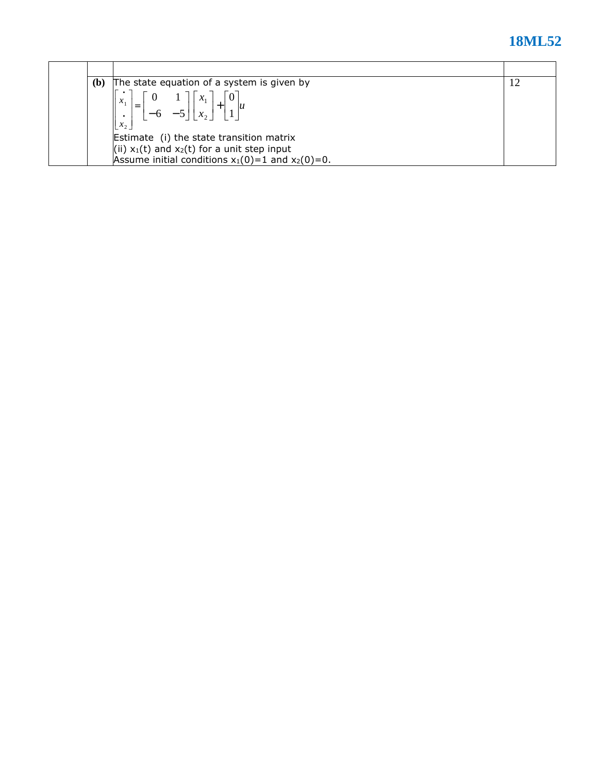| $\mathbf{b}$ | The state equation of a system is given by            | 12 |
|--------------|-------------------------------------------------------|----|
|              | $\mathcal{X}_1$<br>$x_{2}$                            |    |
|              | Estimate (i) the state transition matrix              |    |
|              | (ii) $x_1(t)$ and $x_2(t)$ for a unit step input      |    |
|              | Assume initial conditions $x_1(0)=1$ and $x_2(0)=0$ . |    |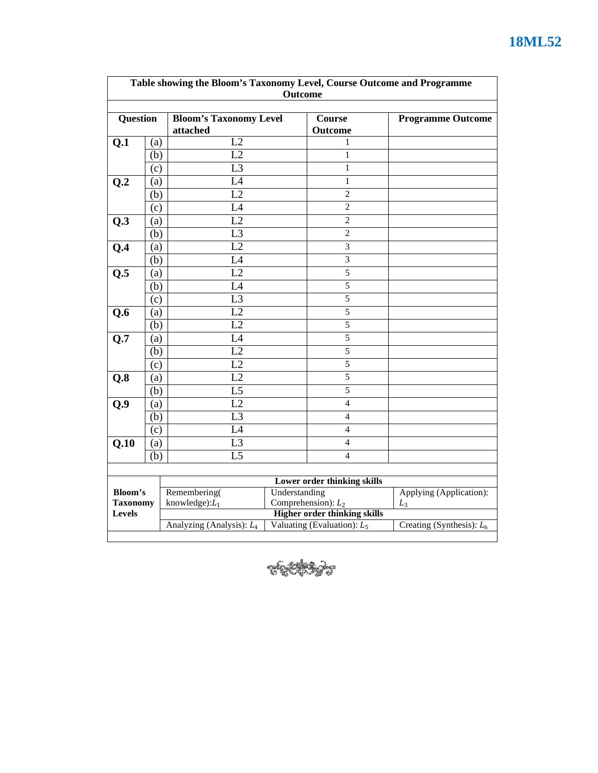|                                  |     | Table showing the Bloom's Taxonomy Level, Course Outcome and Programme | <b>Outcome</b>              |                                                              |                          |
|----------------------------------|-----|------------------------------------------------------------------------|-----------------------------|--------------------------------------------------------------|--------------------------|
| Question                         |     | <b>Bloom's Taxonomy Level</b>                                          | Course                      |                                                              | <b>Programme Outcome</b> |
|                                  |     | attached                                                               |                             | Outcome                                                      |                          |
| Q.1                              | (a) | L2                                                                     |                             | 1                                                            |                          |
|                                  | (b) | L2                                                                     |                             | 1                                                            |                          |
|                                  | (c) | $\overline{L3}$                                                        |                             | $\mathbf{1}$                                                 |                          |
| Q.2                              | (a) | L4                                                                     |                             | $\mathbf{1}$                                                 |                          |
|                                  | (b) | L2                                                                     |                             | $\overline{2}$                                               |                          |
|                                  | (c) | L4                                                                     |                             | $\overline{2}$                                               |                          |
| Q.3                              | (a) | L2                                                                     |                             | $\overline{2}$                                               |                          |
|                                  | (b) | L <sub>3</sub>                                                         |                             | $\mathfrak{2}$                                               |                          |
| Q.4                              | (a) | L2                                                                     |                             | 3                                                            |                          |
|                                  | (b) | L4                                                                     |                             | $\overline{3}$                                               |                          |
| Q.5                              | (a) | L2                                                                     |                             | 5                                                            |                          |
|                                  | (b) | L4                                                                     |                             | $\sqrt{5}$                                                   |                          |
|                                  | (c) | $\overline{L3}$                                                        |                             | $\sqrt{5}$                                                   |                          |
| Q.6                              | (a) | L2                                                                     |                             | $\overline{5}$                                               |                          |
|                                  | (b) | L2                                                                     |                             | $\overline{5}$                                               |                          |
| Q.7                              | (a) | L4                                                                     |                             | $\overline{5}$                                               |                          |
|                                  | (b) | L2                                                                     |                             | $\sqrt{5}$                                                   |                          |
|                                  | (c) | L2                                                                     |                             | 5                                                            |                          |
| Q.8                              | (a) | $\overline{L2}$                                                        |                             | 5                                                            |                          |
|                                  | (b) | $\overline{L5}$                                                        |                             | 5                                                            |                          |
| Q.9                              | (a) | L2                                                                     |                             | $\overline{4}$                                               |                          |
|                                  | (b) | $\overline{L3}$                                                        |                             | $\overline{4}$                                               |                          |
|                                  | (c) | L4                                                                     |                             | $\overline{4}$                                               |                          |
| Q.10                             | (a) | L <sub>3</sub>                                                         |                             | 4                                                            |                          |
|                                  | (b) | L <sub>5</sub>                                                         |                             | 4                                                            |                          |
|                                  |     |                                                                        |                             |                                                              |                          |
|                                  |     |                                                                        |                             | Lower order thinking skills                                  | Applying (Application):  |
| Bloom's                          |     | Remembering(                                                           | Understanding               |                                                              |                          |
| <b>Taxonomy</b><br><b>Levels</b> |     | knowledge): $L_1$                                                      |                             | Comprehension): $L_2$<br><b>Higher order thinking skills</b> | $L_3$                    |
|                                  |     | Analyzing (Analysis): L <sub>4</sub>                                   | Creating (Synthesis): $L_6$ |                                                              |                          |
|                                  |     |                                                                        |                             | Valuating (Evaluation): $L_5$                                |                          |

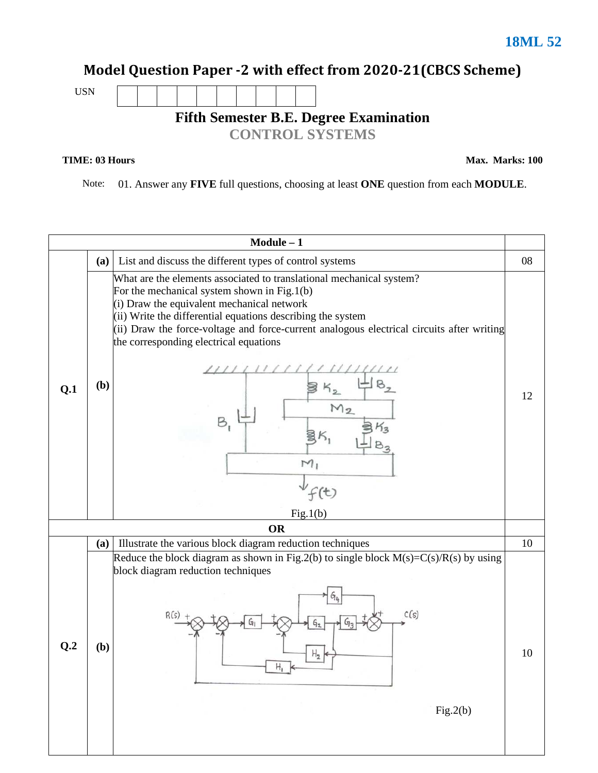#### Model Question Paper -2 with effect from 2020-21(CBCS Scheme)



# **Fifth Semester B.E. Degree Examination**

**CONTROL SYSTEMS**

#### **TIME: 03 Hours**

**Max. Marks: 100**

Note: 01. Answer any **FIVE** full questions, choosing at least **ONE** question from each **MODULE**.

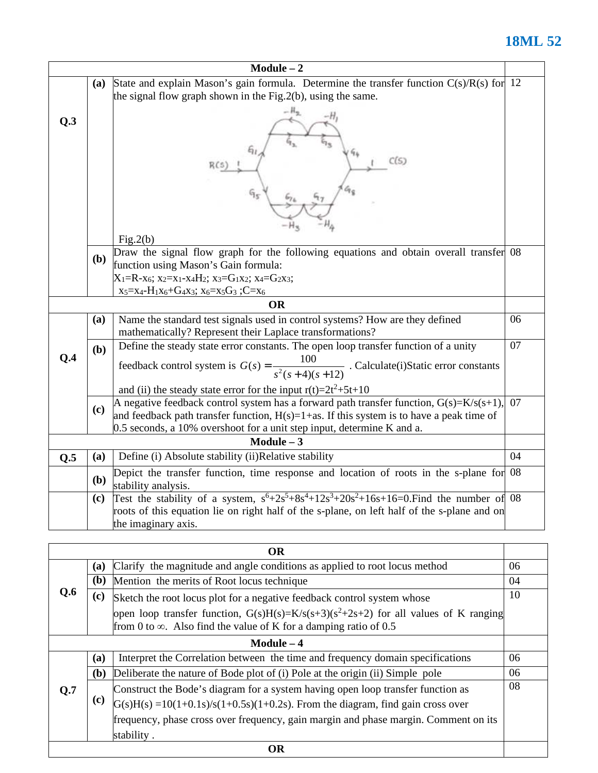|     |                                                                                                                                                                              | $Module - 2$                                                                                                                                                                                                                                                        |    |  |  |  |  |
|-----|------------------------------------------------------------------------------------------------------------------------------------------------------------------------------|---------------------------------------------------------------------------------------------------------------------------------------------------------------------------------------------------------------------------------------------------------------------|----|--|--|--|--|
|     | State and explain Mason's gain formula. Determine the transfer function $C(s)/R(s)$ for 12<br><b>(a)</b><br>the signal flow graph shown in the $Fig. 2(b)$ , using the same. |                                                                                                                                                                                                                                                                     |    |  |  |  |  |
| Q.3 | C(S)                                                                                                                                                                         |                                                                                                                                                                                                                                                                     |    |  |  |  |  |
|     |                                                                                                                                                                              | Fig.2(b)                                                                                                                                                                                                                                                            |    |  |  |  |  |
|     | ( <b>b</b> )                                                                                                                                                                 | Draw the signal flow graph for the following equations and obtain overall transfer 08<br>function using Mason's Gain formula:                                                                                                                                       |    |  |  |  |  |
|     |                                                                                                                                                                              | $X_1=R-x_6$ ; $x_2=x_1-x_4H_2$ ; $x_3=G_1x_2$ ; $x_4=G_2x_3$ ;                                                                                                                                                                                                      |    |  |  |  |  |
|     |                                                                                                                                                                              | $x_5 = x_4 - H_1x_6 + G_4x_3$ ; $x_6 = x_5G_3$ ; C= $x_6$<br><b>OR</b>                                                                                                                                                                                              |    |  |  |  |  |
|     | (a)                                                                                                                                                                          | Name the standard test signals used in control systems? How are they defined                                                                                                                                                                                        | 06 |  |  |  |  |
|     |                                                                                                                                                                              | mathematically? Represent their Laplace transformations?                                                                                                                                                                                                            |    |  |  |  |  |
| O.4 | (b)                                                                                                                                                                          | Define the steady state error constants. The open loop transfer function of a unity<br>feedback control system is $G(s) = \frac{100}{s^2(s+4)(s+12)}$ . Calculate(i)Static error constants                                                                          | 07 |  |  |  |  |
|     |                                                                                                                                                                              | and (ii) the steady state error for the input $r(t)=2t^2+5t+10$                                                                                                                                                                                                     |    |  |  |  |  |
|     | (c)                                                                                                                                                                          | A negative feedback control system has a forward path transfer function, $G(s)=K/s(s+1)$ ,<br>and feedback path transfer function, $H(s)=1+as$ . If this system is to have a peak time of<br>0.5 seconds, a 10% overshoot for a unit step input, determine K and a. | 07 |  |  |  |  |
|     |                                                                                                                                                                              | $Module - 3$                                                                                                                                                                                                                                                        |    |  |  |  |  |
| Q.5 | (a)                                                                                                                                                                          | Define (i) Absolute stability (ii)Relative stability                                                                                                                                                                                                                | 04 |  |  |  |  |
|     | ( <b>b</b> )                                                                                                                                                                 | Depict the transfer function, time response and location of roots in the s-plane for 08<br>stability analysis.                                                                                                                                                      |    |  |  |  |  |
|     | (c)                                                                                                                                                                          | Test the stability of a system, $s^6+2s^5+8s^4+12s^3+20s^2+16s+16=0$ . Find the number of 08<br>roots of this equation lie on right half of the s-plane, on left half of the s-plane and on<br>the imaginary axis.                                                  |    |  |  |  |  |
|     |                                                                                                                                                                              |                                                                                                                                                                                                                                                                     |    |  |  |  |  |

| <b>OR</b> |              |                                                                                                                                                                                                                                                              |    |  |  |
|-----------|--------------|--------------------------------------------------------------------------------------------------------------------------------------------------------------------------------------------------------------------------------------------------------------|----|--|--|
|           | (a)          | Clarify the magnitude and angle conditions as applied to root locus method<br>06                                                                                                                                                                             |    |  |  |
|           | ( <b>b</b> ) | Mention the merits of Root locus technique                                                                                                                                                                                                                   | 04 |  |  |
| O.6       | (c)          | 10<br>Sketch the root locus plot for a negative feedback control system whose                                                                                                                                                                                |    |  |  |
|           |              | open loop transfer function, $G(s)H(s)=K/s(s+3)(s^2+2s+2)$ for all values of K ranging<br>from 0 to $\infty$ . Also find the value of K for a damping ratio of 0.5                                                                                           |    |  |  |
|           |              | $Module - 4$                                                                                                                                                                                                                                                 |    |  |  |
|           | (a)          | Interpret the Correlation between the time and frequency domain specifications                                                                                                                                                                               | 06 |  |  |
|           | (b)          | Deliberate the nature of Bode plot of (i) Pole at the origin (ii) Simple pole                                                                                                                                                                                | 06 |  |  |
| 0.7       | (c)          | Construct the Bode's diagram for a system having open loop transfer function as<br>$G(s)H(s) = 10(1+0.1s)/s(1+0.5s)(1+0.2s)$ . From the diagram, find gain cross over<br>frequency, phase cross over frequency, gain margin and phase margin. Comment on its | 08 |  |  |
|           |              | stability.                                                                                                                                                                                                                                                   |    |  |  |
| <b>OR</b> |              |                                                                                                                                                                                                                                                              |    |  |  |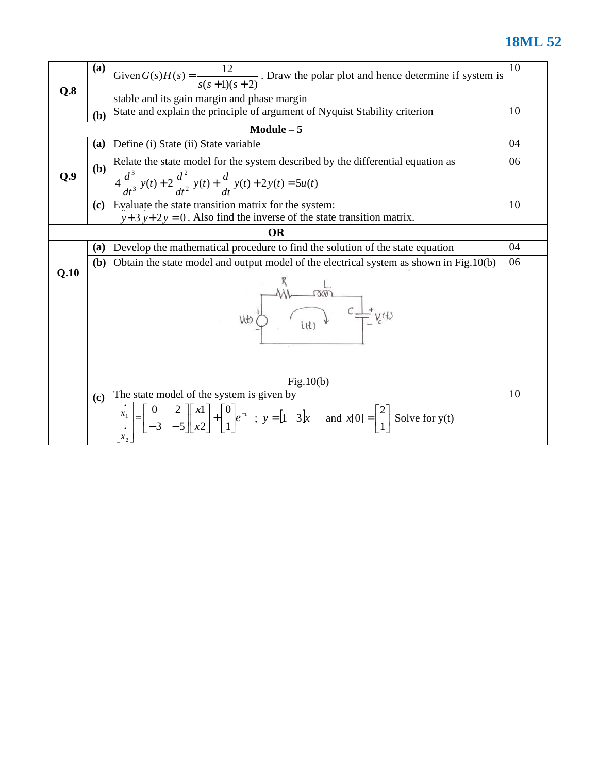|      | <b>(a)</b>   | Given $G(s)H(s) = \frac{12}{s(s+1)(s+2)}$ . Draw the polar plot and hence determine if system is                                                                                                                                                                                                                                                        | 10 |  |  |  |  |
|------|--------------|---------------------------------------------------------------------------------------------------------------------------------------------------------------------------------------------------------------------------------------------------------------------------------------------------------------------------------------------------------|----|--|--|--|--|
| Q.8  |              | stable and its gain margin and phase margin                                                                                                                                                                                                                                                                                                             |    |  |  |  |  |
|      | (b)          | State and explain the principle of argument of Nyquist Stability criterion<br>10                                                                                                                                                                                                                                                                        |    |  |  |  |  |
|      |              | $Module - 5$                                                                                                                                                                                                                                                                                                                                            |    |  |  |  |  |
|      | <b>(a)</b>   | Define (i) State (ii) State variable<br>04                                                                                                                                                                                                                                                                                                              |    |  |  |  |  |
| Q.9  | (b)          | Relate the state model for the system described by the differential equation as<br>$4\frac{d^3}{dt^3}y(t) + 2\frac{d^2}{dt^2}y(t) + \frac{d}{dt}y(t) + 2y(t) = 5u(t)$                                                                                                                                                                                   |    |  |  |  |  |
|      |              | (c) Evaluate the state transition matrix for the system:<br>$y+3$ y+2y = 0. Also find the inverse of the state transition matrix.                                                                                                                                                                                                                       | 10 |  |  |  |  |
|      |              | <b>OR</b>                                                                                                                                                                                                                                                                                                                                               |    |  |  |  |  |
|      | (a)          | Develop the mathematical procedure to find the solution of the state equation                                                                                                                                                                                                                                                                           | 04 |  |  |  |  |
|      | ( <b>b</b> ) | Obtain the state model and output model of the electrical system as shown in Fig.10(b)                                                                                                                                                                                                                                                                  | 06 |  |  |  |  |
| Q.10 |              | $V(t)$ $\frac{W}{U(t)}$ $\frac{1}{t}$ $\frac{1}{t}$ $\frac{1}{t}$ $\frac{1}{t}$ $\frac{1}{t}$ $\frac{1}{t}$ $\frac{1}{t}$ $\frac{1}{t}$ $\frac{1}{t}$ $\frac{1}{t}$ $\frac{1}{t}$ $\frac{1}{t}$ $\frac{1}{t}$ $\frac{1}{t}$ $\frac{1}{t}$ $\frac{1}{t}$ $\frac{1}{t}$ $\frac{1}{t}$ $\frac{1}{t}$ $\frac{1}{t}$ $\frac{$                                |    |  |  |  |  |
|      |              | Fig.10(b)                                                                                                                                                                                                                                                                                                                                               |    |  |  |  |  |
|      | (c)          | The state model of the system is given by<br>$\begin{bmatrix} \vec{x}_1 \\ \vec{x}_2 \end{bmatrix} = \begin{bmatrix} 0 & 2 \\ -3 & -5 \end{bmatrix} \begin{bmatrix} x1 \\ x2 \end{bmatrix} + \begin{bmatrix} 0 \\ 1 \end{bmatrix} e^{-t}$ ; $y = \begin{bmatrix} 1 & 3 \end{bmatrix}x$ and $x[0] = \begin{bmatrix} 2 \\ 1 \end{bmatrix}$ Solve for y(t) | 10 |  |  |  |  |